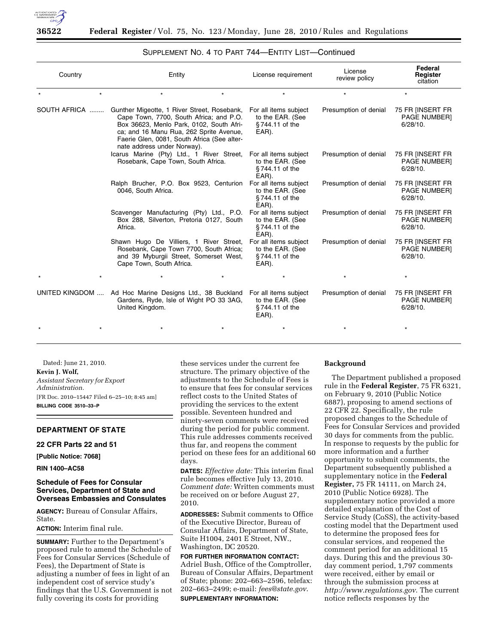

| Country | Entity                                                                                                                                                                                                                                                                    | License requirement                                                  | License<br>review policy | Federal<br>Register<br>citation                        |
|---------|---------------------------------------------------------------------------------------------------------------------------------------------------------------------------------------------------------------------------------------------------------------------------|----------------------------------------------------------------------|--------------------------|--------------------------------------------------------|
| $\star$ | $^\star$                                                                                                                                                                                                                                                                  | ÷                                                                    | $\star$                  | $\star$                                                |
|         | SOUTH AFRICA  Gunther Migeotte, 1 River Street, Rosebank,<br>Cape Town, 7700, South Africa; and P.O.<br>Box 36623, Menlo Park, 0102, South Afri-<br>ca; and 16 Manu Rua, 262 Sprite Avenue,<br>Faerie Glen, 0081, South Africa (See alter-<br>nate address under Norway). | For all items subject<br>to the EAR. (See<br>§744.11 of the<br>EAR). | Presumption of denial    | 75 FR IINSERT FR<br><b>PAGE NUMBER]</b><br>$6/28/10$ . |
|         | Icarus Marine (Pty) Ltd., 1 River Street,<br>Rosebank, Cape Town, South Africa.                                                                                                                                                                                           | For all items subject<br>to the EAR. (See<br>§744.11 of the<br>EAR). | Presumption of denial    | 75 FR IINSERT FR<br><b>PAGE NUMBER]</b><br>$6/28/10$ . |
|         | Ralph Brucher, P.O. Box 9523, Centurion<br>0046, South Africa.                                                                                                                                                                                                            | For all items subject<br>to the EAR. (See<br>§744.11 of the<br>EAR). | Presumption of denial    | 75 FR IINSERT FR<br><b>PAGE NUMBER]</b><br>$6/28/10$ . |
|         | Scavenger Manufacturing (Pty) Ltd., P.O.<br>Box 288, Silverton, Pretoria 0127, South<br>Africa.                                                                                                                                                                           | For all items subject<br>to the EAR. (See<br>§744.11 of the<br>EAR). | Presumption of denial    | 75 FR [INSERT FR<br>PAGE NUMBER]<br>6/28/10.           |
|         | Shawn Hugo De Villiers, 1 River Street,<br>Rosebank, Cape Town 7700, South Africa;<br>and 39 Myburgii Street, Somerset West,<br>Cape Town, South Africa.                                                                                                                  | For all items subject<br>to the EAR. (See<br>§744.11 of the<br>EAR). | Presumption of denial    | 75 FR [INSERT FR<br>PAGE NUMBER]<br>6/28/10.           |
|         |                                                                                                                                                                                                                                                                           |                                                                      |                          | $\star$                                                |
|         | UNITED KINGDOM  Ad Hoc Marine Designs Ltd., 38 Buckland<br>Gardens, Ryde, Isle of Wight PO 33 3AG,<br>United Kingdom.                                                                                                                                                     | For all items subject<br>to the EAR. (See<br>§744.11 of the<br>EAR). | Presumption of denial    | 75 FR IINSERT FR<br><b>PAGE NUMBER]</b><br>6/28/10.    |
|         |                                                                                                                                                                                                                                                                           |                                                                      |                          |                                                        |

# SUPPLEMENT NO. 4 TO PART 744—ENTITY LIST—Continued

Dated: June 21, 2010. **Kevin J. Wolf,**  *Assistant Secretary for Export Administration.*  [FR Doc. 2010–15447 Filed 6–25–10; 8:45 am] **BILLING CODE 3510–33–P** 

# **DEPARTMENT OF STATE**

#### **22 CFR Parts 22 and 51**

**[Public Notice: 7068]** 

**RIN 1400–AC58** 

# **Schedule of Fees for Consular Services, Department of State and Overseas Embassies and Consulates**

**AGENCY:** Bureau of Consular Affairs, State.

**ACTION:** Interim final rule.

**SUMMARY:** Further to the Department's proposed rule to amend the Schedule of Fees for Consular Services (Schedule of Fees), the Department of State is adjusting a number of fees in light of an independent cost of service study's findings that the U.S. Government is not fully covering its costs for providing

these services under the current fee structure. The primary objective of the adjustments to the Schedule of Fees is to ensure that fees for consular services reflect costs to the United States of providing the services to the extent possible. Seventeen hundred and ninety-seven comments were received during the period for public comment. This rule addresses comments received thus far, and reopens the comment period on these fees for an additional 60 days.

**DATES:** *Effective date:* This interim final rule becomes effective July 13, 2010. *Comment date:* Written comments must be received on or before August 27, 2010.

**ADDRESSES:** Submit comments to Office of the Executive Director, Bureau of Consular Affairs, Department of State, Suite H1004, 2401 E Street, NW., Washington, DC 20520.

**FOR FURTHER INFORMATION CONTACT:**  Adriel Bush, Office of the Comptroller, Bureau of Consular Affairs, Department of State; phone: 202–663–2596, telefax: 202–663–2499; e-mail: *fees@state.gov*. **SUPPLEMENTARY INFORMATION:** 

#### **Background**

The Department published a proposed rule in the **Federal Register**, 75 FR 6321, on February 9, 2010 (Public Notice 6887), proposing to amend sections of 22 CFR 22. Specifically, the rule proposed changes to the Schedule of Fees for Consular Services and provided 30 days for comments from the public. In response to requests by the public for more information and a further opportunity to submit comments, the Department subsequently published a supplementary notice in the **Federal Register,** 75 FR 14111, on March 24, 2010 (Public Notice 6928). The supplementary notice provided a more detailed explanation of the Cost of Service Study (CoSS), the activity-based costing model that the Department used to determine the proposed fees for consular services, and reopened the comment period for an additional 15 days. During this and the previous 30 day comment period, 1,797 comments were received, either by email or through the submission process at *http://www.regulations.gov*. The current notice reflects responses by the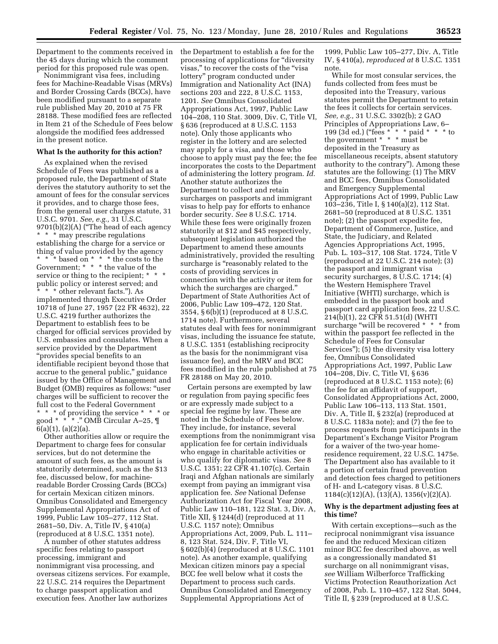the 45 days during which the comment period for this proposed rule was open.

Nonimmigrant visa fees, including fees for Machine-Readable Visas (MRVs) and Border Crossing Cards (BCCs), have been modified pursuant to a separate rule published May 20, 2010 at 75 FR 28188. These modified fees are reflected in Item 21 of the Schedule of Fees below alongside the modified fees addressed in the present notice.

#### **What Is the authority for this action?**

As explained when the revised Schedule of Fees was published as a proposed rule, the Department of State derives the statutory authority to set the amount of fees for the consular services it provides, and to charge those fees, from the general user charges statute, 31 U.S.C. 9701. *See, e.g.,* 31 U.S.C. 9701(b)(2)(A) (''The head of each agency \* \* \* may prescribe regulations establishing the charge for a service or thing of value provided by the agency \* \* \* based on \* \* \* the costs to the Government; \* \* \* the value of the service or thing to the recipient; \* \* public policy or interest served; and \* \* \* other relevant facts.''). As implemented through Executive Order 10718 of June 27, 1957 (22 FR 4632), 22 U.S.C. 4219 further authorizes the Department to establish fees to be charged for official services provided by U.S. embassies and consulates. When a service provided by the Department ''provides special benefits to an identifiable recipient beyond those that accrue to the general public,'' guidance issued by the Office of Management and Budget (OMB) requires as follows: ''user charges will be sufficient to recover the full cost to the Federal Government \* \* \* of providing the service \* \* \* or good \* \* \* .'' OMB Circular A–25, ¶  $6(a)(1), (a)(2)(a).$ 

Other authorities allow or require the Department to charge fees for consular services, but do not determine the amount of such fees, as the amount is statutorily determined, such as the \$13 fee, discussed below, for machinereadable Border Crossing Cards (BCCs) for certain Mexican citizen minors. Omnibus Consolidated and Emergency Supplemental Appropriations Act of 1999, Public Law 105–277, 112 Stat. 2681–50, Div. A, Title IV, § 410(a) (reproduced at 8 U.S.C. 1351 note).

A number of other statutes address specific fees relating to passport processing, immigrant and nonimmigrant visa processing, and overseas citizens services. For example, 22 U.S.C. 214 requires the Department to charge passport application and execution fees. Another law authorizes

Department to the comments received in the Department to establish a fee for the processing of applications for ''diversity visas,'' to recover the costs of the ''visa lottery'' program conducted under Immigration and Nationality Act (INA) sections 203 and 222, 8 U.S.C. 1153, 1201. *See* Omnibus Consolidated Appropriations Act, 1997, Public Law 104–208, 110 Stat. 3009, Div. C, Title VI, § 636 (reproduced at 8 U.S.C. 1153 note). Only those applicants who register in the lottery and are selected may apply for a visa, and those who choose to apply must pay the fee; the fee incorporates the costs to the Department of administering the lottery program. *Id.*  Another statute authorizes the Department to collect and retain surcharges on passports and immigrant visas to help pay for efforts to enhance border security. *See* 8 U.S.C. 1714. While these fees were originally frozen statutorily at \$12 and \$45 respectively, subsequent legislation authorized the Department to amend these amounts administratively, provided the resulting surcharge is "reasonably related to the costs of providing services in connection with the activity or item for which the surcharges are charged.'' Department of State Authorities Act of 2006, Public Law 109–472, 120 Stat. 3554, § 6(b)(1) (reproduced at 8 U.S.C. 1714 note). Furthermore, several statutes deal with fees for nonimmigrant visas, including the issuance fee statute, 8 U.S.C. 1351 (establishing reciprocity as the basis for the nonimmigrant visa issuance fee), and the MRV and BCC fees modified in the rule published at 75 FR 28188 on May 20, 2010.

> Certain persons are exempted by law or regulation from paying specific fees or are expressly made subject to a special fee regime by law. These are noted in the Schedule of Fees below. They include, for instance, several exemptions from the nonimmigrant visa application fee for certain individuals who engage in charitable activities or who qualify for diplomatic visas. *See* 8 U.S.C. 1351; 22 CFR 41.107(c). Certain Iraqi and Afghan nationals are similarly exempt from paying an immigrant visa application fee. *See* National Defense Authorization Act for Fiscal Year 2008, Public Law 110–181, 122 Stat. 3, Div. A, Title XII, § 1244(d) (reproduced at 11 U.S.C. 1157 note); Omnibus Appropriations Act, 2009, Pub. L. 111– 8, 123 Stat. 524, Div. F, Title VI, § 602(b)(4) (reproduced at 8 U.S.C. 1101 note). As another example, qualifying Mexican citizen minors pay a special BCC fee well below what it costs the Department to process such cards. Omnibus Consolidated and Emergency Supplemental Appropriations Act of

1999, Public Law 105–277, Div. A, Title IV, § 410(a), *reproduced at* 8 U.S.C. 1351 note.

While for most consular services, the funds collected from fees must be deposited into the Treasury, various statutes permit the Department to retain the fees it collects for certain services. *See, e.g.,* 31 U.S.C. 3302(b); 2 GAO Principles of Appropriations Law, 6– 199 (3d ed.) (''fees \* \* \* paid \* \* \* to the government \* \* \* must be deposited in the Treasury as miscellaneous receipts, absent statutory authority to the contrary''). Among these statutes are the following: (1) The MRV and BCC fees, Omnibus Consolidated and Emergency Supplemental Appropriations Act of 1999, Public Law 103–236, Title I, § 140(a)(2), 112 Stat. 2681–50 (reproduced at 8 U.S.C. 1351 note); (2) the passport expedite fee, Department of Commerce, Justice, and State, the Judiciary, and Related Agencies Appropriations Act, 1995, Pub. L. 103–317, 108 Stat. 1724, Title V (reproduced at 22 U.S.C. 214 note); (3) the passport and immigrant visa security surcharges, 8 U.S.C. 1714; (4) the Western Hemisphere Travel Initiative (WHTI) surcharge, which is embedded in the passport book and passport card application fees, 22 U.S.C. 214(b)(1), 22 CFR 51.51(d) (WHTI surcharge "will be recovered \* \* \* from within the passport fee reflected in the Schedule of Fees for Consular Services''); (5) the diversity visa lottery fee, Omnibus Consolidated Appropriations Act, 1997, Public Law 104–208, Div. C, Title VI, § 636 (reproduced at 8 U.S.C. 1153 note); (6) the fee for an affidavit of support, Consolidated Appropriations Act, 2000, Public Law 106–113, 113 Stat. 1501, Div. A, Title II, § 232(a) (reproduced at 8 U.S.C. 1183a note); and (7) the fee to process requests from participants in the Department's Exchange Visitor Program for a waiver of the two-year homeresidence requirement, 22 U.S.C. 1475e. The Department also has available to it a portion of certain fraud prevention and detection fees charged to petitioners of H- and L-category visas. 8 U.S.C. 1184(c)(12)(A), (13)(A), 1356(v)(2)(A).

## **Why is the department adjusting fees at this time?**

With certain exceptions—such as the reciprocal nonimmigrant visa issuance fee and the reduced Mexican citizen minor BCC fee described above, as well as a congressionally mandated \$1 surcharge on all nonimmigrant visas, *see* William Wilberforce Trafficking Victims Protection Reauthorization Act of 2008, Pub. L. 110–457, 122 Stat. 5044, Title II, § 239 (reproduced at 8 U.S.C.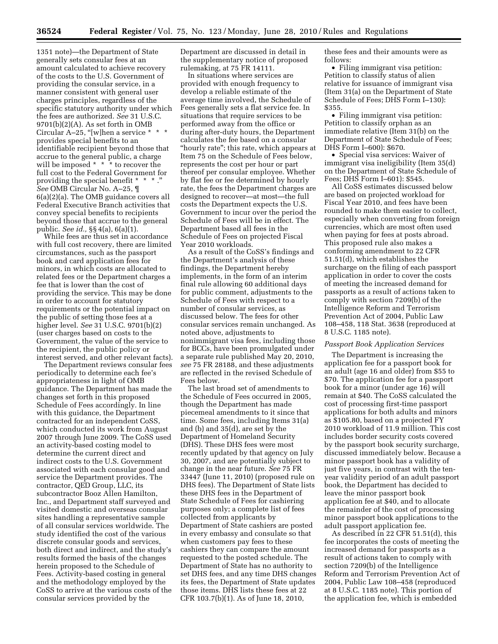1351 note)—the Department of State generally sets consular fees at an amount calculated to achieve recovery of the costs to the U.S. Government of providing the consular service, in a manner consistent with general user charges principles, regardless of the specific statutory authority under which the fees are authorized. *See* 31 U.S.C. 9701(b)(2)(A). As set forth in OMB Circular A-25, "[w]hen a service \* \* \* provides special benefits to an identifiable recipient beyond those that accrue to the general public, a charge will be imposed  $* * *$  to recover the full cost to the Federal Government for providing the special benefit \* \* \* .'' *See* OMB Circular No. A–25, ¶ 6(a)(2)(a). The OMB guidance covers all Federal Executive Branch activities that convey special benefits to recipients beyond those that accrue to the general public. *See id.,* §§ 4(a), 6(a)(1).

While fees are thus set in accordance with full cost recovery, there are limited circumstances, such as the passport book and card application fees for minors, in which costs are allocated to related fees or the Department charges a fee that is lower than the cost of providing the service. This may be done in order to account for statutory requirements or the potential impact on the public of setting those fees at a higher level. *See* 31 U.S.C. 9701(b)(2) (user charges based on costs to the Government, the value of the service to the recipient, the public policy or interest served, and other relevant facts).

The Department reviews consular fees periodically to determine each fee's appropriateness in light of OMB guidance. The Department has made the changes set forth in this proposed Schedule of Fees accordingly. In line with this guidance, the Department contracted for an independent CoSS, which conducted its work from August 2007 through June 2009. The CoSS used an activity-based costing model to determine the current direct and indirect costs to the U.S. Government associated with each consular good and service the Department provides. The contractor, QED Group, LLC, its subcontractor Booz Allen Hamilton, Inc., and Department staff surveyed and visited domestic and overseas consular sites handling a representative sample of all consular services worldwide. The study identified the cost of the various discrete consular goods and services, both direct and indirect, and the study's results formed the basis of the changes herein proposed to the Schedule of Fees. Activity-based costing in general and the methodology employed by the CoSS to arrive at the various costs of the consular services provided by the

Department are discussed in detail in the supplementary notice of proposed rulemaking, at 75 FR 14111.

In situations where services are provided with enough frequency to develop a reliable estimate of the average time involved, the Schedule of Fees generally sets a flat service fee. In situations that require services to be performed away from the office or during after-duty hours, the Department calculates the fee based on a consular ''hourly rate''; this rate, which appears at Item 75 on the Schedule of Fees below, represents the cost per hour or part thereof per consular employee. Whether by flat fee or fee determined by hourly rate, the fees the Department charges are designed to recover—at most—the full costs the Department expects the U.S. Government to incur over the period the Schedule of Fees will be in effect. The Department based all fees in the Schedule of Fees on projected Fiscal Year 2010 workloads.

As a result of the CoSS's findings and the Department's analysis of these findings, the Department hereby implements, in the form of an interim final rule allowing 60 additional days for public comment, adjustments to the Schedule of Fees with respect to a number of consular services, as discussed below. The fees for other consular services remain unchanged. As noted above, adjustments to nonimmigrant visa fees, including those for BCCs, have been promulgated under a separate rule published May 20, 2010, *see* 75 FR 28188, and these adjustments are reflected in the revised Schedule of Fees below.

The last broad set of amendments to the Schedule of Fees occurred in 2005, though the Department has made piecemeal amendments to it since that time. Some fees, including Items 31(a) and (b) and 35(d), are set by the Department of Homeland Security (DHS). These DHS fees were most recently updated by that agency on July 30, 2007, and are potentially subject to change in the near future. *See* 75 FR 33447 (June 11, 2010) (proposed rule on DHS fees). The Department of State lists these DHS fees in the Department of State Schedule of Fees for cashiering purposes only; a complete list of fees collected from applicants by Department of State cashiers are posted in every embassy and consulate so that when customers pay fees to these cashiers they can compare the amount requested to the posted schedule. The Department of State has no authority to set DHS fees, and any time DHS changes its fees, the Department of State updates those items. DHS lists these fees at 22 CFR 103.7(b)(1). As of June 18, 2010,

these fees and their amounts were as follows:

• Filing immigrant visa petition: Petition to classify status of alien relative for issuance of immigrant visa (Item 31(a) on the Department of State Schedule of Fees; DHS Form I–130): \$355.

• Filing immigrant visa petition: Petition to classify orphan as an immediate relative (Item 31(b) on the Department of State Schedule of Fees; DHS Form I–600): \$670.

• Special visa services: Waiver of immigrant visa ineligibility (Item 35(d) on the Department of State Schedule of Fees; DHS Form I–601): \$545.

All CoSS estimates discussed below are based on projected workload for Fiscal Year 2010, and fees have been rounded to make them easier to collect, especially when converting from foreign currencies, which are most often used when paying for fees at posts abroad. This proposed rule also makes a conforming amendment to 22 CFR 51.51(d), which establishes the surcharge on the filing of each passport application in order to cover the costs of meeting the increased demand for passports as a result of actions taken to comply with section 7209(b) of the Intelligence Reform and Terrorism Prevention Act of 2004, Public Law 108–458, 118 Stat. 3638 (reproduced at 8 U.S.C. 1185 note).

#### *Passport Book Application Services*

The Department is increasing the application fee for a passport book for an adult (age 16 and older) from \$55 to \$70. The application fee for a passport book for a minor (under age 16) will remain at \$40. The CoSS calculated the cost of processing first-time passport applications for both adults and minors as \$105.80, based on a projected FY 2010 workload of 11.9 million. This cost includes border security costs covered by the passport book security surcharge, discussed immediately below. Because a minor passport book has a validity of just five years, in contrast with the tenyear validity period of an adult passport book, the Department has decided to leave the minor passport book application fee at \$40, and to allocate the remainder of the cost of processing minor passport book applications to the adult passport application fee.

As described in 22 CFR 51.51(d), this fee incorporates the costs of meeting the increased demand for passports as a result of actions taken to comply with section 7209(b) of the Intelligence Reform and Terrorism Prevention Act of 2004, Public Law 108–458 (reproduced at 8 U.S.C. 1185 note). This portion of the application fee, which is embedded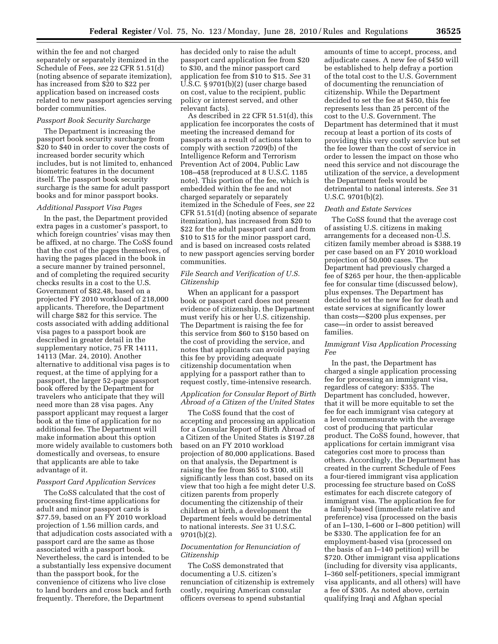within the fee and not charged separately or separately itemized in the Schedule of Fees, *see* 22 CFR 51.51(d) (noting absence of separate itemization), has increased from \$20 to \$22 per application based on increased costs related to new passport agencies serving border communities.

#### *Passport Book Security Surcharge*

The Department is increasing the passport book security surcharge from \$20 to \$40 in order to cover the costs of increased border security which includes, but is not limited to, enhanced biometric features in the document itself. The passport book security surcharge is the same for adult passport books and for minor passport books.

#### *Additional Passport Visa Pages*

In the past, the Department provided extra pages in a customer's passport, to which foreign countries' visas may then be affixed, at no charge. The CoSS found that the cost of the pages themselves, of having the pages placed in the book in a secure manner by trained personnel, and of completing the required security checks results in a cost to the U.S. Government of \$82.48, based on a projected FY 2010 workload of 218,000 applicants. Therefore, the Department will charge \$82 for this service. The costs associated with adding additional visa pages to a passport book are described in greater detail in the supplementary notice, 75 FR 14111, 14113 (Mar. 24, 2010). Another alternative to additional visa pages is to request, at the time of applying for a passport, the larger 52-page passport book offered by the Department for travelers who anticipate that they will need more than 28 visa pages. Any passport applicant may request a larger book at the time of application for no additional fee. The Department will make information about this option more widely available to customers both domestically and overseas, to ensure that applicants are able to take advantage of it.

#### *Passport Card Application Services*

The CoSS calculated that the cost of processing first-time applications for adult and minor passport cards is \$77.59, based on an FY 2010 workload projection of 1.56 million cards, and that adjudication costs associated with a passport card are the same as those associated with a passport book. Nevertheless, the card is intended to be a substantially less expensive document than the passport book, for the convenience of citizens who live close to land borders and cross back and forth frequently. Therefore, the Department

has decided only to raise the adult passport card application fee from \$20 to \$30, and the minor passport card application fee from \$10 to \$15. *See* 31 U.S.C. § 9701(b)(2) (user charge based on cost, value to the recipient, public policy or interest served, and other relevant facts).

As described in 22 CFR 51.51(d), this application fee incorporates the costs of meeting the increased demand for passports as a result of actions taken to comply with section 7209(b) of the Intelligence Reform and Terrorism Prevention Act of 2004, Public Law 108–458 (reproduced at 8 U.S.C. 1185 note). This portion of the fee, which is embedded within the fee and not charged separately or separately itemized in the Schedule of Fees, *see* 22 CFR 51.51(d) (noting absence of separate itemization), has increased from \$20 to \$22 for the adult passport card and from \$10 to \$15 for the minor passport card, and is based on increased costs related to new passport agencies serving border communities.

# *File Search and Verification of U.S. Citizenship*

When an applicant for a passport book or passport card does not present evidence of citizenship, the Department must verify his or her U.S. citizenship. The Department is raising the fee for this service from \$60 to \$150 based on the cost of providing the service, and notes that applicants can avoid paying this fee by providing adequate citizenship documentation when applying for a passport rather than to request costly, time-intensive research.

# *Application for Consular Report of Birth Abroad of a Citizen of the United States*

The CoSS found that the cost of accepting and processing an application for a Consular Report of Birth Abroad of a Citizen of the United States is \$197.28 based on an FY 2010 workload projection of 80,000 applications. Based on that analysis, the Department is raising the fee from \$65 to \$100, still significantly less than cost, based on its view that too high a fee might deter U.S. citizen parents from properly documenting the citizenship of their children at birth, a development the Department feels would be detrimental to national interests. *See* 31 U.S.C. 9701(b)(2).

# *Documentation for Renunciation of Citizenship*

The CoSS demonstrated that documenting a U.S. citizen's renunciation of citizenship is extremely costly, requiring American consular officers overseas to spend substantial

amounts of time to accept, process, and adjudicate cases. A new fee of \$450 will be established to help defray a portion of the total cost to the U.S. Government of documenting the renunciation of citizenship. While the Department decided to set the fee at \$450, this fee represents less than 25 percent of the cost to the U.S. Government. The Department has determined that it must recoup at least a portion of its costs of providing this very costly service but set the fee lower than the cost of service in order to lessen the impact on those who need this service and not discourage the utilization of the service, a development the Department feels would be detrimental to national interests. *See* 31 U.S.C. 9701(b)(2).

#### *Death and Estate Services*

The CoSS found that the average cost of assisting U.S. citizens in making arrangements for a deceased non-U.S. citizen family member abroad is \$388.19 per case based on an FY 2010 workload projection of 50,000 cases. The Department had previously charged a fee of \$265 per hour, the then-applicable fee for consular time (discussed below), plus expenses. The Department has decided to set the new fee for death and estate services at significantly lower than costs—\$200 plus expenses, per case—in order to assist bereaved families.

### *Immigrant Visa Application Processing Fee*

In the past, the Department has charged a single application processing fee for processing an immigrant visa, regardless of category: \$355. The Department has concluded, however, that it will be more equitable to set the fee for each immigrant visa category at a level commensurate with the average cost of producing that particular product. The CoSS found, however, that applications for certain immigrant visa categories cost more to process than others. Accordingly, the Department has created in the current Schedule of Fees a four-tiered immigrant visa application processing fee structure based on CoSS estimates for each discrete category of immigrant visa. The application fee for a family-based (immediate relative and preference) visa (processed on the basis of an I–130, I–600 or I–800 petition) will be \$330. The application fee for an employment-based visa (processed on the basis of an I–140 petition) will be \$720. Other immigrant visa applications (including for diversity visa applicants, I–360 self-petitioners, special immigrant visa applicants, and all others) will have a fee of \$305. As noted above, certain qualifying Iraqi and Afghan special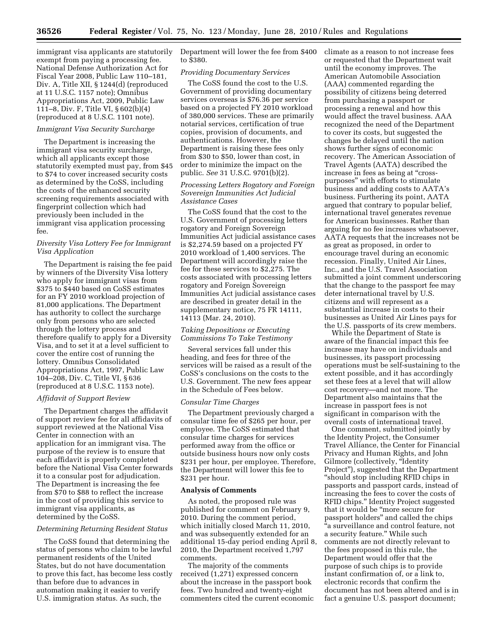immigrant visa applicants are statutorily exempt from paying a processing fee. National Defense Authorization Act for Fiscal Year 2008, Public Law 110–181, Div. A, Title XII, § 1244(d) (reproduced at 11 U.S.C. 1157 note); Omnibus Appropriations Act, 2009, Public Law 111–8, Div. F, Title VI, § 602(b)(4) (reproduced at 8 U.S.C. 1101 note).

# *Immigrant Visa Security Surcharge*

The Department is increasing the immigrant visa security surcharge, which all applicants except those statutorily exempted must pay, from \$45 to \$74 to cover increased security costs as determined by the CoSS, including the costs of the enhanced security screening requirements associated with fingerprint collection which had previously been included in the immigrant visa application processing fee.

### *Diversity Visa Lottery Fee for Immigrant Visa Application*

The Department is raising the fee paid by winners of the Diversity Visa lottery who apply for immigrant visas from \$375 to \$440 based on CoSS estimates for an FY 2010 workload projection of 81,000 applications. The Department has authority to collect the surcharge only from persons who are selected through the lottery process and therefore qualify to apply for a Diversity Visa, and to set it at a level sufficient to cover the entire cost of running the lottery. Omnibus Consolidated Appropriations Act, 1997, Public Law 104–208, Div. C, Title VI, § 636 (reproduced at 8 U.S.C. 1153 note).

#### *Affidavit of Support Review*

The Department charges the affidavit of support review fee for all affidavits of support reviewed at the National Visa Center in connection with an application for an immigrant visa. The purpose of the review is to ensure that each affidavit is properly completed before the National Visa Center forwards it to a consular post for adjudication. The Department is increasing the fee from \$70 to \$88 to reflect the increase in the cost of providing this service to immigrant visa applicants, as determined by the CoSS.

#### *Determining Returning Resident Status*

The CoSS found that determining the status of persons who claim to be lawful permanent residents of the United States, but do not have documentation to prove this fact, has become less costly than before due to advances in automation making it easier to verify U.S. immigration status. As such, the

Department will lower the fee from \$400 to \$380.

#### *Providing Documentary Services*

The CoSS found the cost to the U.S. Government of providing documentary services overseas is \$76.36 per service based on a projected FY 2010 workload of 380,000 services. These are primarily notarial services, certification of true copies, provision of documents, and authentications. However, the Department is raising these fees only from \$30 to \$50, lower than cost, in order to minimize the impact on the public. *See* 31 U.S.C. 9701(b)(2).

# *Processing Letters Rogatory and Foreign Sovereign Immunities Act Judicial Assistance Cases*

The CoSS found that the cost to the U.S. Government of processing letters rogatory and Foreign Sovereign Immunities Act judicial assistance cases is \$2,274.59 based on a projected FY 2010 workload of 1,400 services. The Department will accordingly raise the fee for these services to \$2,275. The costs associated with processing letters rogatory and Foreign Sovereign Immunities Act judicial assistance cases are described in greater detail in the supplementary notice, 75 FR 14111, 14113 (Mar. 24, 2010).

### *Taking Depositions or Executing Commissions To Take Testimony*

Several services fall under this heading, and fees for three of the services will be raised as a result of the CoSS's conclusions on the costs to the U.S. Government. The new fees appear in the Schedule of Fees below.

#### *Consular Time Charges*

The Department previously charged a consular time fee of \$265 per hour, per employee. The CoSS estimated that consular time charges for services performed away from the office or outside business hours now only costs \$231 per hour, per employee. Therefore, the Department will lower this fee to \$231 per hour.

#### **Analysis of Comments**

As noted, the proposed rule was published for comment on February 9, 2010. During the comment period, which initially closed March 11, 2010, and was subsequently extended for an additional 15-day period ending April 8, 2010, the Department received 1,797 comments.

The majority of the comments received (1,271) expressed concern about the increase in the passport book fees. Two hundred and twenty-eight commenters cited the current economic climate as a reason to not increase fees or requested that the Department wait until the economy improves. The American Automobile Association (AAA) commented regarding the possibility of citizens being deterred from purchasing a passport or processing a renewal and how this would affect the travel business. AAA recognized the need of the Department to cover its costs, but suggested the changes be delayed until the nation shows further signs of economic recovery. The American Association of Travel Agents (AATA) described the increase in fees as being at "crosspurposes'' with efforts to stimulate business and adding costs to AATA's business. Furthering its point, AATA argued that contrary to popular belief, international travel generates revenue for American businesses. Rather than arguing for no fee increases whatsoever, AATA requests that the increases not be as great as proposed, in order to encourage travel during an economic recession. Finally, United Air Lines, Inc., and the U.S. Travel Association submitted a joint comment underscoring that the change to the passport fee may deter international travel by U.S. citizens and will represent as a substantial increase in costs to their businesses as United Air Lines pays for the U.S. passports of its crew members.

While the Department of State is aware of the financial impact this fee increase may have on individuals and businesses, its passport processing operations must be self-sustaining to the extent possible, and it has accordingly set these fees at a level that will allow cost recovery—and not more. The Department also maintains that the increase in passport fees is not significant in comparison with the overall costs of international travel.

One comment, submitted jointly by the Identity Project, the Consumer Travel Alliance, the Center for Financial Privacy and Human Rights, and John Gilmore (collectively, ''Identity Project''), suggested that the Department ''should stop including RFID chips in passports and passport cards, instead of increasing the fees to cover the costs of RFID chips.'' Identity Project suggested that it would be ''more secure for passport holders'' and called the chips ''a surveillance and control feature, not a security feature.'' While such comments are not directly relevant to the fees proposed in this rule, the Department would offer that the purpose of such chips is to provide instant confirmation of, or a link to, electronic records that confirm the document has not been altered and is in fact a genuine U.S. passport document;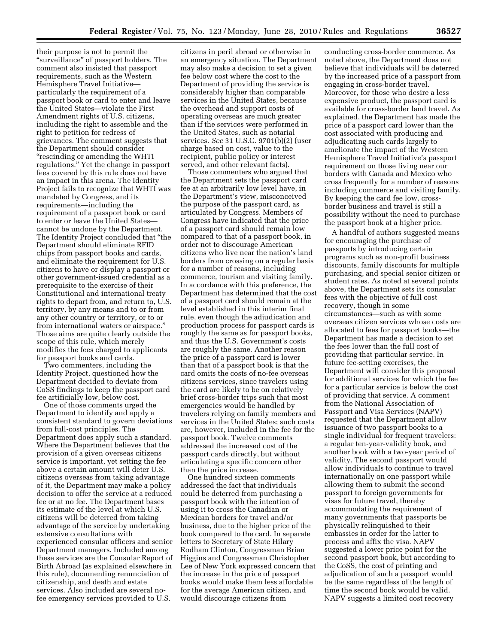their purpose is not to permit the ''surveillance'' of passport holders. The comment also insisted that passport requirements, such as the Western Hemisphere Travel Initiative particularly the requirement of a passport book or card to enter and leave the United States—violate the First Amendment rights of U.S. citizens, including the right to assemble and the right to petition for redress of grievances. The comment suggests that the Department should consider ''rescinding or amending the WHTI regulations.'' Yet the change in passport fees covered by this rule does not have an impact in this arena. The Identity Project fails to recognize that WHTI was mandated by Congress, and its requirements—including the requirement of a passport book or card to enter or leave the United States cannot be undone by the Department. The Identity Project concluded that ''the Department should eliminate RFID chips from passport books and cards, and eliminate the requirement for U.S. citizens to have or display a passport or other government-issued credential as a prerequisite to the exercise of their Constitutional and international treaty rights to depart from, and return to, U.S. territory, by any means and to or from any other country or territory, or to or from international waters or airspace.'' Those aims are quite clearly outside the scope of this rule, which merely modifies the fees charged to applicants for passport books and cards.

Two commenters, including the Identity Project, questioned how the Department decided to deviate from CoSS findings to keep the passport card fee artificially low, below cost.

One of those comments urged the Department to identify and apply a consistent standard to govern deviations from full-cost principles. The Department does apply such a standard. Where the Department believes that the provision of a given overseas citizens service is important, yet setting the fee above a certain amount will deter U.S. citizens overseas from taking advantage of it, the Department may make a policy decision to offer the service at a reduced fee or at no fee. The Department bases its estimate of the level at which U.S. citizens will be deterred from taking advantage of the service by undertaking extensive consultations with experienced consular officers and senior Department managers. Included among these services are the Consular Report of Birth Abroad (as explained elsewhere in this rule), documenting renunciation of citizenship, and death and estate services. Also included are several nofee emergency services provided to U.S.

citizens in peril abroad or otherwise in an emergency situation. The Department may also make a decision to set a given fee below cost where the cost to the Department of providing the service is considerably higher than comparable services in the United States, because the overhead and support costs of operating overseas are much greater than if the services were performed in the United States, such as notarial services. *See* 31 U.S.C. 9701(b)(2) (user charge based on cost, value to the recipient, public policy or interest served, and other relevant facts).

Those commenters who argued that the Department sets the passport card fee at an arbitrarily low level have, in the Department's view, misconceived the purpose of the passport card, as articulated by Congress. Members of Congress have indicated that the price of a passport card should remain low compared to that of a passport book, in order not to discourage American citizens who live near the nation's land borders from crossing on a regular basis for a number of reasons, including commerce, tourism and visiting family. In accordance with this preference, the Department has determined that the cost of a passport card should remain at the level established in this interim final rule, even though the adjudication and production process for passport cards is roughly the same as for passport books, and thus the U.S. Government's costs are roughly the same. Another reason the price of a passport card is lower than that of a passport book is that the card omits the costs of no-fee overseas citizens services, since travelers using the card are likely to be on relatively brief cross-border trips such that most emergencies would be handled by travelers relying on family members and services in the United States; such costs are, however, included in the fee for the passport book. Twelve comments addressed the increased cost of the passport cards directly, but without articulating a specific concern other than the price increase.

One hundred sixteen comments addressed the fact that individuals could be deterred from purchasing a passport book with the intention of using it to cross the Canadian or Mexican borders for travel and/or business, due to the higher price of the book compared to the card. In separate letters to Secretary of State Hilary Rodham Clinton, Congressman Brian Higgins and Congressman Christopher Lee of New York expressed concern that the increase in the price of passport books would make them less affordable for the average American citizen, and would discourage citizens from

conducting cross-border commerce. As noted above, the Department does not believe that individuals will be deterred by the increased price of a passport from engaging in cross-border travel. Moreover, for those who desire a less expensive product, the passport card is available for cross-border land travel. As explained, the Department has made the price of a passport card lower than the cost associated with producing and adjudicating such cards largely to ameliorate the impact of the Western Hemisphere Travel Initiative's passport requirement on those living near our borders with Canada and Mexico who cross frequently for a number of reasons including commerce and visiting family. By keeping the card fee low, crossborder business and travel is still a possibility without the need to purchase the passport book at a higher price.

A handful of authors suggested means for encouraging the purchase of passports by introducing certain programs such as non-profit business discounts, family discounts for multiple purchasing, and special senior citizen or student rates. As noted at several points above, the Department sets its consular fees with the objective of full cost recovery, though in some circumstances—such as with some overseas citizen services whose costs are allocated to fees for passport books—the Department has made a decision to set the fees lower than the full cost of providing that particular service. In future fee-setting exercises, the Department will consider this proposal for additional services for which the fee for a particular service is below the cost of providing that service. A comment from the National Association of Passport and Visa Services (NAPV) requested that the Department allow issuance of two passport books to a single individual for frequent travelers: a regular ten-year-validity book, and another book with a two-year period of validity. The second passport would allow individuals to continue to travel internationally on one passport while allowing them to submit the second passport to foreign governments for visas for future travel, thereby accommodating the requirement of many governments that passports be physically relinquished to their embassies in order for the latter to process and affix the visa. NAPV suggested a lower price point for the second passport book, but according to the CoSS, the cost of printing and adjudication of such a passport would be the same regardless of the length of time the second book would be valid. NAPV suggests a limited cost recovery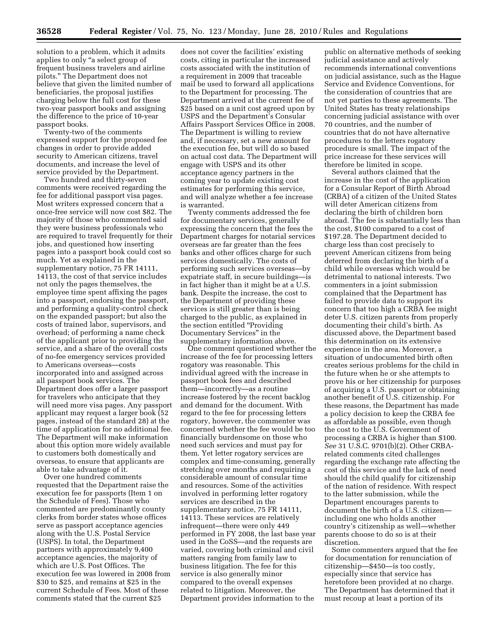solution to a problem, which it admits applies to only ''a select group of frequent business travelers and airline pilots.'' The Department does not believe that given the limited number of beneficiaries, the proposal justifies charging below the full cost for these two-year passport books and assigning the difference to the price of 10-year passport books.

Twenty-two of the comments expressed support for the proposed fee changes in order to provide added security to American citizens, travel documents, and increase the level of service provided by the Department.

Two hundred and thirty-seven comments were received regarding the fee for additional passport visa pages. Most writers expressed concern that a once-free service will now cost \$82. The majority of those who commented said they were business professionals who are required to travel frequently for their jobs, and questioned how inserting pages into a passport book could cost so much. Yet as explained in the supplementary notice, 75 FR 14111, 14113, the cost of that service includes not only the pages themselves, the employee time spent affixing the pages into a passport, endorsing the passport, and performing a quality-control check on the expanded passport; but also the costs of trained labor, supervisors, and overhead; of performing a name check of the applicant prior to providing the service, and a share of the overall costs of no-fee emergency services provided to Americans overseas—costs incorporated into and assigned across all passport book services. The Department does offer a larger passport for travelers who anticipate that they will need more visa pages. Any passport applicant may request a larger book (52 pages, instead of the standard 28) at the time of application for no additional fee. The Department will make information about this option more widely available to customers both domestically and overseas, to ensure that applicants are able to take advantage of it.

Over one hundred comments requested that the Department raise the execution fee for passports (Item 1 on the Schedule of Fees). Those who commented are predominantly county clerks from border states whose offices serve as passport acceptance agencies along with the U.S. Postal Service (USPS). In total, the Department partners with approximately 9,400 acceptance agencies, the majority of which are U.S. Post Offices. The execution fee was lowered in 2008 from \$30 to \$25, and remains at \$25 in the current Schedule of Fees. Most of these comments stated that the current \$25

does not cover the facilities' existing costs, citing in particular the increased costs associated with the institution of a requirement in 2009 that traceable mail be used to forward all applications to the Department for processing. The Department arrived at the current fee of \$25 based on a unit cost agreed upon by USPS and the Department's Consular Affairs Passport Services Office in 2008. The Department is willing to review and, if necessary, set a new amount for the execution fee, but will do so based on actual cost data. The Department will engage with USPS and its other acceptance agency partners in the coming year to update existing cost estimates for performing this service, and will analyze whether a fee increase is warranted.

Twenty comments addressed the fee for documentary services, generally expressing the concern that the fees the Department charges for notarial services overseas are far greater than the fees banks and other offices charge for such services domestically. The costs of performing such services overseas—by expatriate staff, in secure buildings—is in fact higher than it might be at a U.S. bank. Despite the increase, the cost to the Department of providing these services is still greater than is being charged to the public, as explained in the section entitled ''Providing Documentary Services'' in the supplementary information above.

One comment questioned whether the increase of the fee for processing letters rogatory was reasonable. This individual agreed with the increase in passport book fees and described them—incorrectly—as a routine increase fostered by the recent backlog and demand for the document. With regard to the fee for processing letters rogatory, however, the commenter was concerned whether the fee would be too financially burdensome on those who need such services and must pay for them. Yet letter rogatory services are complex and time-consuming, generally stretching over months and requiring a considerable amount of consular time and resources. Some of the activities involved in performing letter rogatory services are described in the supplementary notice, 75 FR 14111, 14113. These services are relatively infrequent—there were only 449 performed in FY 2008, the last base year used in the CoSS—and the requests are varied, covering both criminal and civil matters ranging from family law to business litigation. The fee for this service is also generally minor compared to the overall expenses related to litigation. Moreover, the Department provides information to the

public on alternative methods of seeking judicial assistance and actively recommends international conventions on judicial assistance, such as the Hague Service and Evidence Conventions, for the consideration of countries that are not yet parties to these agreements. The United States has treaty relationships concerning judicial assistance with over 70 countries, and the number of countries that do not have alternative procedures to the letters rogatory procedure is small. The impact of the price increase for these services will therefore be limited in scope.

Several authors claimed that the increase in the cost of the application for a Consular Report of Birth Abroad (CRBA) of a citizen of the United States will deter American citizens from declaring the birth of children born abroad. The fee is substantially less than the cost, \$100 compared to a cost of \$197.28. The Department decided to charge less than cost precisely to prevent American citizens from being deterred from declaring the birth of a child while overseas which would be detrimental to national interests. Two commenters in a joint submission complained that the Department has failed to provide data to support its concern that too high a CRBA fee might deter U.S. citizen parents from properly documenting their child's birth. As discussed above, the Department based this determination on its extensive experience in the area. Moreover, a situation of undocumented birth often creates serious problems for the child in the future when he or she attempts to prove his or her citizenship for purposes of acquiring a U.S. passport or obtaining another benefit of U.S. citizenship. For these reasons, the Department has made a policy decision to keep the CRBA fee as affordable as possible, even though the cost to the U.S. Government of processing a CRBA is higher than \$100. *See* 31 U.S.C. 9701(b)(2). Other CRBArelated comments cited challenges regarding the exchange rate affecting the cost of this service and the lack of need should the child qualify for citizenship of the nation of residence. With respect to the latter submission, while the Department encourages parents to document the birth of a U.S. citizen including one who holds another country's citizenship as well—whether parents choose to do so is at their discretion.

Some commenters argued that the fee for documentation for renunciation of citizenship—\$450—is too costly, especially since that service has heretofore been provided at no charge. The Department has determined that it must recoup at least a portion of its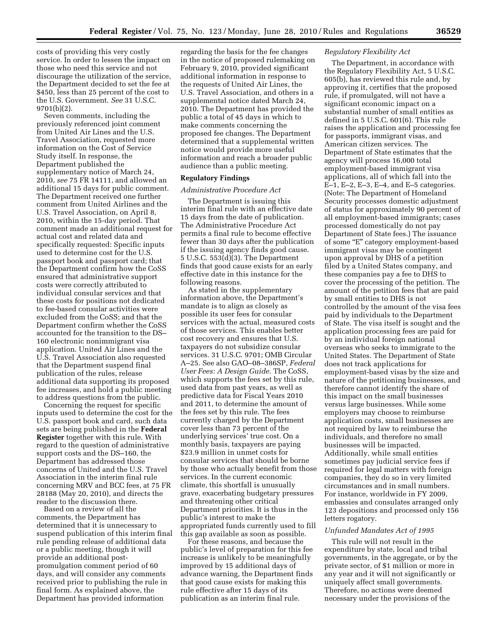costs of providing this very costly service. In order to lessen the impact on those who need this service and not discourage the utilization of the service, the Department decided to set the fee at \$450, less than 25 percent of the cost to the U.S. Government. *See* 31 U.S.C. 9701(b)(2).

Seven comments, including the previously referenced joint comment from United Air Lines and the U.S. Travel Association, requested more information on the Cost of Service Study itself. In response, the Department published the supplementary notice of March 24, 2010, *see* 75 FR 14111, and allowed an additional 15 days for public comment. The Department received one further comment from United Airlines and the U.S. Travel Association, on April 8, 2010, within the 15-day period. That comment made an additional request for actual cost and related data and specifically requested: Specific inputs used to determine cost for the U.S. passport book and passport card; that the Department confirm how the CoSS ensured that administrative support costs were correctly attributed to individual consular services and that these costs for positions not dedicated to fee-based consular activities were excluded from the CoSS; and that the Department confirm whether the CoSS accounted for the transition to the DS– 160 electronic nonimmigrant visa application. United Air Lines and the U.S. Travel Association also requested that the Department suspend final publication of the rules, release additional data supporting its proposed fee increases, and hold a public meeting to address questions from the public.

Concerning the request for specific inputs used to determine the cost for the U.S. passport book and card, such data sets are being published in the **Federal Register** together with this rule. With regard to the question of administrative support costs and the DS–160, the Department has addressed those concerns of United and the U.S. Travel Association in the interim final rule concerning MRV and BCC fees, at 75 FR 28188 (May 20, 2010), and directs the reader to the discussion there.

Based on a review of all the comments, the Department has determined that it is unnecessary to suspend publication of this interim final rule pending release of additional data or a public meeting, though it will provide an additional postpromulgation comment period of 60 days, and will consider any comments received prior to publishing the rule in final form. As explained above, the Department has provided information

regarding the basis for the fee changes in the notice of proposed rulemaking on February 9, 2010, provided significant additional information in response to the requests of United Air Lines, the U.S. Travel Association, and others in a supplemental notice dated March 24, 2010. The Department has provided the public a total of 45 days in which to make comments concerning the proposed fee changes. The Department determined that a supplemental written notice would provide more useful information and reach a broader public audience than a public meeting.

# **Regulatory Findings**

## *Administrative Procedure Act*

The Department is issuing this interim final rule with an effective date 15 days from the date of publication. The Administrative Procedure Act permits a final rule to become effective fewer than 30 days after the publication if the issuing agency finds good cause. 5 U.S.C. 553(d)(3). The Department finds that good cause exists for an early effective date in this instance for the following reasons.

As stated in the supplementary information above, the Department's mandate is to align as closely as possible its user fees for consular services with the actual, measured costs of those services. This enables better cost recovery and ensures that U.S. taxpayers do not subsidize consular services. 31 U.S.C. 9701; OMB Circular A–25. See also GAO–08–386SP, *Federal User Fees: A Design Guide.* The CoSS, which supports the fees set by this rule, used data from past years, as well as predictive data for Fiscal Years 2010 and 2011, to determine the amount of the fees set by this rule. The fees currently charged by the Department cover less than 73 percent of the underlying services' true cost. On a monthly basis, taxpayers are paying \$23.9 million in unmet costs for consular services that should be borne by those who actually benefit from those services. In the current economic climate, this shortfall is unusually grave, exacerbating budgetary pressures and threatening other critical Department priorities. It is thus in the public's interest to make the appropriated funds currently used to fill this gap available as soon as possible.

For these reasons, and because the public's level of preparation for this fee increase is unlikely to be meaningfully improved by 15 additional days of advance warning, the Department finds that good cause exists for making this rule effective after 15 days of its publication as an interim final rule.

# *Regulatory Flexibility Act*

The Department, in accordance with the Regulatory Flexibility Act, 5 U.S.C. 605(b), has reviewed this rule and, by approving it, certifies that the proposed rule, if promulgated, will not have a significant economic impact on a substantial number of small entities as defined in 5 U.S.C. 601(6). This rule raises the application and processing fee for passports, immigrant visas, and American citizen services. The Department of State estimates that the agency will process 16,000 total employment-based immigrant visa applications, all of which fall into the E–1, E–2, E–3, E–4, and E–5 categories. (Note: The Department of Homeland Security processes domestic adjustment of status for approximately 90 percent of all employment-based immigrants; cases processed domestically do not pay Department of State fees.) The issuance of some "E" category employment-based immigrant visas may be contingent upon approval by DHS of a petition filed by a United States company, and these companies pay a fee to DHS to cover the processing of the petition. The amount of the petition fees that are paid by small entities to DHS is not controlled by the amount of the visa fees paid by individuals to the Department of State. The visa itself is sought and the application processing fees are paid for by an individual foreign national overseas who seeks to immigrate to the United States. The Department of State does not track applications for employment-based visas by the size and nature of the petitioning businesses, and therefore cannot identify the share of this impact on the small businesses versus large businesses. While some employers may choose to reimburse application costs, small businesses are not required by law to reimburse the individuals, and therefore no small businesses will be impacted. Additionally, while small entities sometimes pay judicial service fees if required for legal matters with foreign companies, they do so in very limited circumstances and in small numbers. For instance, worldwide in FY 2009, embassies and consulates arranged only 123 depositions and processed only 156 letters rogatory.

#### *Unfunded Mandates Act of 1995*

This rule will not result in the expenditure by state, local and tribal governments, in the aggregate, or by the private sector, of \$1 million or more in any year and it will not significantly or uniquely affect small governments. Therefore, no actions were deemed necessary under the provisions of the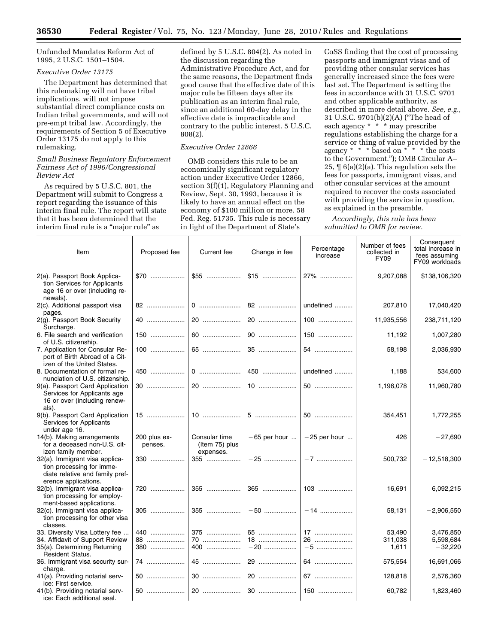Unfunded Mandates Reform Act of 1995, 2 U.S.C. 1501–1504.

# *Executive Order 13175*

The Department has determined that this rulemaking will not have tribal implications, will not impose substantial direct compliance costs on Indian tribal governments, and will not pre-empt tribal law. Accordingly, the requirements of Section 5 of Executive Order 13175 do not apply to this rulemaking.

# *Small Business Regulatory Enforcement Fairness Act of 1996/Congressional Review Act*

As required by 5 U.S.C. 801, the Department will submit to Congress a report regarding the issuance of this interim final rule. The report will state that it has been determined that the interim final rule is a "major rule" as

defined by 5 U.S.C. 804(2). As noted in the discussion regarding the Administrative Procedure Act, and for the same reasons, the Department finds good cause that the effective date of this major rule be fifteen days after its publication as an interim final rule, since an additional 60-day delay in the effective date is impracticable and contrary to the public interest. 5 U.S.C. 808(2).

# *Executive Order 12866*

OMB considers this rule to be an economically significant regulatory action under Executive Order 12866, section 3(f)(1), Regulatory Planning and Review, Sept. 30, 1993, because it is likely to have an annual effect on the economy of \$100 million or more. 58 Fed. Reg. 51735. This rule is necessary in light of the Department of State's

CoSS finding that the cost of processing passports and immigrant visas and of providing other consular services has generally increased since the fees were last set. The Department is setting the fees in accordance with 31 U.S.C. 9701 and other applicable authority, as described in more detail above. *See, e.g.,*  31 U.S.C. 9701(b)(2)(A) (''The head of each agency \* \* \* may prescribe regulations establishing the charge for a service or thing of value provided by the agency \* \* \* based on \* \* \* the costs to the Government.''); OMB Circular A– 25, ¶ 6(a)(2)(a). This regulation sets the fees for passports, immigrant visas, and other consular services at the amount required to recover the costs associated with providing the service in question, as explained in the preamble.

*Accordingly, this rule has been submitted to OMB for review.* 

| Item                                                                                                                   | Proposed fee            | Current fee                                  | Change in fee | Percentage<br>increase         | Number of fees<br>collected in<br><b>FY09</b> | Consequent<br>total increase in<br>fees assuming<br>FY09 workloads |
|------------------------------------------------------------------------------------------------------------------------|-------------------------|----------------------------------------------|---------------|--------------------------------|-----------------------------------------------|--------------------------------------------------------------------|
| 2(a). Passport Book Applica-<br>tion Services for Applicants<br>age 16 or over (including re-<br>newals).              | $$70$                   |                                              | $$15$         | $27\%$                         | 9,207,088                                     | \$138,106,320                                                      |
| 2(c). Additional passport visa<br>pages.                                                                               | 82                      |                                              |               | undefined                      | 207,810                                       | 17,040,420                                                         |
| 2(g). Passport Book Security<br>Surcharge.                                                                             | 40                      | 20                                           | 20            | 100                            | 11,935,556                                    | 238,711,120                                                        |
| 6. File search and verification<br>of U.S. citizenship.                                                                | 150                     |                                              |               | 150                            | 11,192                                        | 1,007,280                                                          |
| 7. Application for Consular Re-<br>port of Birth Abroad of a Cit-<br>izen of the United States.                        | $100$                   | 65                                           |               |                                | 58,198                                        | 2,036,930                                                          |
| 8. Documentation of formal re-<br>nunciation of U.S. citizenship.                                                      | 450                     |                                              |               | undefined                      | 1,188                                         | 534,600                                                            |
| 9(a). Passport Card Application<br>Services for Applicants age<br>16 or over (including renew-<br>als).                |                         |                                              |               | 50                             | 1,196,078                                     | 11,960,780                                                         |
| 9(b). Passport Card Application<br>Services for Applicants<br>under age 16.                                            | $15$                    |                                              |               | 50                             | 354,451                                       | 1,772,255                                                          |
| 14(b). Making arrangements<br>for a deceased non-U.S. cit-<br>izen family member.                                      | 200 plus ex-<br>penses. | Consular time<br>(Item 75) plus<br>expenses. |               | $-65$ per hour $ -25$ per hour | 426                                           | $-27,690$                                                          |
| 32(a). Immigrant visa applica-<br>tion processing for imme-<br>diate relative and family pref-<br>erence applications. | 330                     | 355                                          |               |                                | 500,732                                       | $-12,518,300$                                                      |
| 32(b). Immigrant visa applica-<br>tion processing for employ-<br>ment-based applications.                              | 720                     | 355                                          |               |                                | 16,691                                        | 6,092,215                                                          |
| 32(c). Immigrant visa applica-<br>tion processing for other visa<br>classes.                                           | 305                     | 355                                          |               | $-14$                          | 58,131                                        | $-2,906,550$                                                       |
| 33. Diversity Visa Lottery fee                                                                                         | 440                     | 375                                          |               | 17                             | 53,490                                        | 3,476,850                                                          |
| 34. Affidavit of Support Review                                                                                        | 88                      | 70                                           | 18            | 26                             | 311,038                                       | 5,598,684                                                          |
| 35(a). Determining Returning<br><b>Resident Status.</b>                                                                | 380                     | 400                                          | $-20$         | $-5$                           | 1,611                                         | $-32,220$                                                          |
| 36. Immigrant visa security sur-<br>charge.                                                                            | 74                      | 45                                           |               | 64                             | 575,554                                       | 16,691,066                                                         |
| 41(a). Providing notarial serv-<br>ice: First service.                                                                 | 50                      |                                              |               | 67                             | 128,818                                       | 2,576,360                                                          |
| 41(b). Providing notarial serv-<br>ice: Each additional seal.                                                          | 50                      |                                              |               |                                | 60,782                                        | 1,823,460                                                          |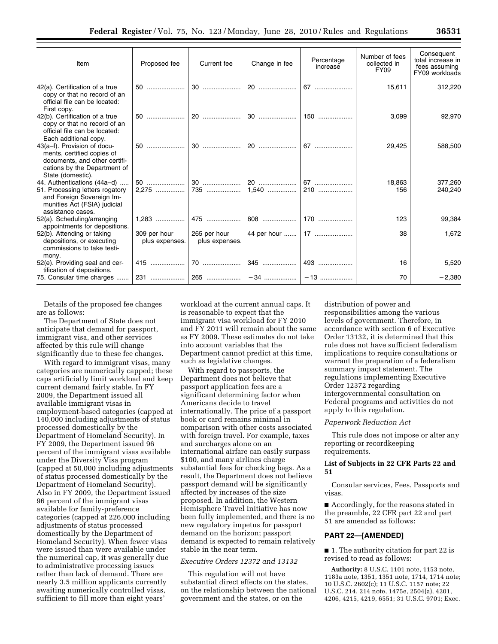| Item                                                                                                                                             | Proposed fee                   | Current fee                    | Change in fee | Percentage<br>increase | Number of fees<br>collected in<br>FY09 | Consequent<br>total increase in<br>fees assuming<br>FY09 workloads |
|--------------------------------------------------------------------------------------------------------------------------------------------------|--------------------------------|--------------------------------|---------------|------------------------|----------------------------------------|--------------------------------------------------------------------|
| 42(a). Certification of a true<br>copy or that no record of an<br>official file can be located:<br>First copy.                                   |                                |                                |               |                        | 15,611                                 | 312,220                                                            |
| 42(b). Certification of a true<br>copy or that no record of an<br>official file can be located:<br>Each additional copy.                         | 50                             | 20                             | 30            | $150$                  | 3,099                                  | 92,970                                                             |
| 43(a-f). Provision of docu-<br>ments, certified copies of<br>documents, and other certifi-<br>cations by the Department of<br>State (domestic).  | 50                             | $30$                           |               |                        | 29,425                                 | 588,500                                                            |
| 44. Authentications (44a–d)<br>51. Processing letters rogatory<br>and Foreign Sovereign Im-<br>munities Act (FSIA) judicial<br>assistance cases. |                                |                                |               |                        | 18,863<br>156                          | 377,260<br>240,240                                                 |
| 52(a). Scheduling/arranging<br>appointments for depositions.                                                                                     |                                | 475                            |               |                        | 123                                    | 99,384                                                             |
| 52(b). Attending or taking<br>depositions, or executing<br>commissions to take testi-                                                            | 309 per hour<br>plus expenses. | 265 per hour<br>plus expenses. |               | 44 per hour    17      | 38                                     | 1,672                                                              |
| mony.<br>52(e). Providing seal and cer-<br>tification of depositions.                                                                            |                                |                                |               |                        | 16                                     | 5,520                                                              |
| 75. Consular time charges                                                                                                                        |                                |                                |               |                        | 70                                     | $-2,380$                                                           |

Details of the proposed fee changes are as follows:

The Department of State does not anticipate that demand for passport, immigrant visa, and other services affected by this rule will change significantly due to these fee changes.

With regard to immigrant visas, many categories are numerically capped; these caps artificially limit workload and keep current demand fairly stable. In FY 2009, the Department issued all available immigrant visas in employment-based categories (capped at 140,000 including adjustments of status processed domestically by the Department of Homeland Security). In FY 2009, the Department issued 96 percent of the immigrant visas available under the Diversity Visa program (capped at 50,000 including adjustments of status processed domestically by the Department of Homeland Security). Also in FY 2009, the Department issued 96 percent of the immigrant visas available for family-preference categories (capped at 226,000 including adjustments of status processed domestically by the Department of Homeland Security). When fewer visas were issued than were available under the numerical cap, it was generally due to administrative processing issues rather than lack of demand. There are nearly 3.5 million applicants currently awaiting numerically controlled visas, sufficient to fill more than eight years'

workload at the current annual caps. It is reasonable to expect that the immigrant visa workload for FY 2010 and FY 2011 will remain about the same as FY 2009. These estimates do not take into account variables that the Department cannot predict at this time, such as legislative changes.

With regard to passports, the Department does not believe that passport application fees are a significant determining factor when Americans decide to travel internationally. The price of a passport book or card remains minimal in comparison with other costs associated with foreign travel. For example, taxes and surcharges alone on an international airfare can easily surpass \$100, and many airlines charge substantial fees for checking bags. As a result, the Department does not believe passport demand will be significantly affected by increases of the size proposed. In addition, the Western Hemisphere Travel Initiative has now been fully implemented, and there is no new regulatory impetus for passport demand on the horizon; passport demand is expected to remain relatively stable in the near term.

#### *Executive Orders 12372 and 13132*

This regulation will not have substantial direct effects on the states, on the relationship between the national government and the states, or on the

distribution of power and responsibilities among the various levels of government. Therefore, in accordance with section 6 of Executive Order 13132, it is determined that this rule does not have sufficient federalism implications to require consultations or warrant the preparation of a federalism summary impact statement. The regulations implementing Executive Order 12372 regarding intergovernmental consultation on Federal programs and activities do not apply to this regulation.

#### *Paperwork Reduction Act*

This rule does not impose or alter any reporting or recordkeeping requirements.

# **List of Subjects in 22 CFR Parts 22 and 51**

Consular services, Fees, Passports and visas.

■ Accordingly, for the reasons stated in the preamble, 22 CFR part 22 and part 51 are amended as follows:

#### **PART 22—[AMENDED]**

■ 1. The authority citation for part 22 is revised to read as follows:

**Authority:** 8 U.S.C. 1101 note, 1153 note, 1183a note, 1351, 1351 note, 1714, 1714 note; 10 U.S.C. 2602(c); 11 U.S.C. 1157 note; 22 U.S.C. 214, 214 note, 1475e, 2504(a), 4201, 4206, 4215, 4219, 6551; 31 U.S.C. 9701; Exec.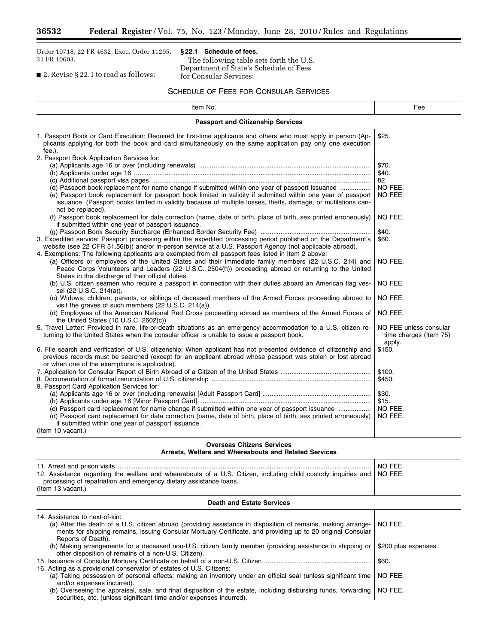$\equiv$ 

Order 10718, 22 FR 4632; Exec. Order 11295, 31 FR 10603.

# **§ 22.1 Schedule of fees.**

The following table sets forth the U.S. Department of State's Schedule of Fees for Consular Services:

■ 2. Revise § 22.1 to read as follows:

# SCHEDULE OF FEES FOR CONSULAR SERVICES

| Item No.                                                                                                                                                                                                                                                                                                                                                                 | Fee                                                        |  |  |  |
|--------------------------------------------------------------------------------------------------------------------------------------------------------------------------------------------------------------------------------------------------------------------------------------------------------------------------------------------------------------------------|------------------------------------------------------------|--|--|--|
| <b>Passport and Citizenship Services</b>                                                                                                                                                                                                                                                                                                                                 |                                                            |  |  |  |
| 1. Passport Book or Card Execution: Required for first-time applicants and others who must apply in person (Ap-<br>plicants applying for both the book and card simultaneously on the same application pay only one execution                                                                                                                                            | \$25.                                                      |  |  |  |
| fee.).<br>2. Passport Book Application Services for:                                                                                                                                                                                                                                                                                                                     |                                                            |  |  |  |
|                                                                                                                                                                                                                                                                                                                                                                          | \$70.                                                      |  |  |  |
|                                                                                                                                                                                                                                                                                                                                                                          | \$40.                                                      |  |  |  |
|                                                                                                                                                                                                                                                                                                                                                                          | 82.                                                        |  |  |  |
| (d) Passport book replacement for name change if submitted within one year of passport issuance                                                                                                                                                                                                                                                                          | NO FEE.                                                    |  |  |  |
| (e) Passport book replacement for passport book limited in validity if submitted within one year of passport                                                                                                                                                                                                                                                             | NO FEE.                                                    |  |  |  |
| issuance. (Passport books limited in validity because of multiple losses, thefts, damage, or mutilations can-<br>not be replaced).                                                                                                                                                                                                                                       |                                                            |  |  |  |
| (f) Passport book replacement for data correction (name, date of birth, place of birth, sex printed erroneously)<br>if submitted within one year of passport issuance.                                                                                                                                                                                                   | NO FEE.                                                    |  |  |  |
|                                                                                                                                                                                                                                                                                                                                                                          | \$40.                                                      |  |  |  |
| 3. Expedited service: Passport processing within the expedited processing period published on the Department's<br>website (see 22 CFR 51.56(b)) and/or in-person service at a U.S. Passport Agency (not applicable abroad).                                                                                                                                              | \$60.                                                      |  |  |  |
| 4. Exemptions: The following applicants are exempted from all passport fees listed in Item 2 above:<br>(a) Officers or employees of the United States and their immediate family members (22 U.S.C. 214) and<br>Peace Corps Volunteers and Leaders (22 U.S.C. 2504(h)) proceeding abroad or returning to the United<br>States in the discharge of their official duties. | NO FEE.                                                    |  |  |  |
| (b) U.S. citizen seamen who require a passport in connection with their duties aboard an American flag ves-<br>sel (22 U.S.C. 214(a)).                                                                                                                                                                                                                                   | NO FEE.                                                    |  |  |  |
| (c) Widows, children, parents, or siblings of deceased members of the Armed Forces proceeding abroad to<br>visit the graves of such members (22 U.S.C. 214(a)).                                                                                                                                                                                                          | NO FEE.                                                    |  |  |  |
| (d) Employees of the American National Red Cross proceeding abroad as members of the Armed Forces of<br>the United States (10 U.S.C. 2602(c)).                                                                                                                                                                                                                           | NO FEE.                                                    |  |  |  |
| 5. Travel Letter: Provided in rare, life-or-death situations as an emergency accommodation to a U.S. citizen re-<br>turning to the United States when the consular officer is unable to issue a passport book.                                                                                                                                                           | NO FEE unless consular<br>time charges (Item 75)<br>apply. |  |  |  |
| 6. File search and verification of U.S. citizenship: When applicant has not presented evidence of citizenship and<br>previous records must be searched (except for an applicant abroad whose passport was stolen or lost abroad<br>or when one of the exemptions is applicable).                                                                                         | \$150.                                                     |  |  |  |
|                                                                                                                                                                                                                                                                                                                                                                          | \$100.                                                     |  |  |  |
|                                                                                                                                                                                                                                                                                                                                                                          | \$450.                                                     |  |  |  |
| 9. Passport Card Application Services for:                                                                                                                                                                                                                                                                                                                               |                                                            |  |  |  |
|                                                                                                                                                                                                                                                                                                                                                                          | \$30.                                                      |  |  |  |
|                                                                                                                                                                                                                                                                                                                                                                          | \$15.                                                      |  |  |  |
| (c) Passport card replacement for name change if submitted within one year of passport issuance                                                                                                                                                                                                                                                                          | NO FEE.                                                    |  |  |  |
| (d) Passport card replacement for data correction (name, date of birth, place of birth, sex printed erroneously)<br>if submitted within one year of passport issuance.                                                                                                                                                                                                   | NO FEE.                                                    |  |  |  |
| (Item 10 vacant.)                                                                                                                                                                                                                                                                                                                                                        |                                                            |  |  |  |
| <b>Overseas Citizens Services</b><br>Arrests, Welfare and Whereabouts and Related Services                                                                                                                                                                                                                                                                               |                                                            |  |  |  |
| 11 Arroct and pricon vicite                                                                                                                                                                                                                                                                                                                                              | NO FEE                                                     |  |  |  |

|                                                                                                                       | NO FEE |
|-----------------------------------------------------------------------------------------------------------------------|--------|
| 12. Assistance regarding the welfare and whereabouts of a U.S. Citizen, including child custody inguiries and NO FEE. |        |
| processing of repatriation and emergency dietary assistance loans.                                                    |        |
| (Item 13 vacant.)                                                                                                     |        |

# **Death and Estate Services**

| 14. Assistance to next-of-kin:<br>(a) After the death of a U.S. citizen abroad (providing assistance in disposition of remains, making arrange-<br>ments for shipping remains, issuing Consular Mortuary Certificate, and providing up to 20 original Consular<br>Reports of Death). | NO FEE.              |
|--------------------------------------------------------------------------------------------------------------------------------------------------------------------------------------------------------------------------------------------------------------------------------------|----------------------|
| (b) Making arrangements for a deceased non-U.S. citizen family member (providing assistance in shipping or<br>other disposition of remains of a non-U.S. Citizen).                                                                                                                   | \$200 plus expenses. |
| 16. Acting as a provisional conservator of estates of U.S. Citizens:                                                                                                                                                                                                                 | \$60.                |
| (a) Taking possession of personal effects; making an inventory under an official seal (unless significant time<br>and/or expenses incurred).                                                                                                                                         | NO FEE.              |
| (b) Overseeing the appraisal, sale, and final disposition of the estate, including disbursing funds, forwarding<br>securities, etc. (unless significant time and/or expenses incurred).                                                                                              | NO FEE.              |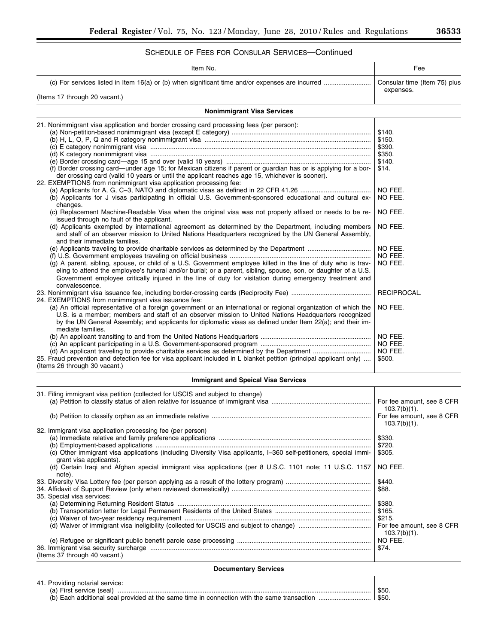# SCHEDULE OF FEES FOR CONSULAR SERVICES—Continued

| SCHEDULE OF FEES FOR CONSULAR SERVICES—CONNINGU                                                                                                                                                                                                                                                                                                               |                                              |
|---------------------------------------------------------------------------------------------------------------------------------------------------------------------------------------------------------------------------------------------------------------------------------------------------------------------------------------------------------------|----------------------------------------------|
| Item No.                                                                                                                                                                                                                                                                                                                                                      | Fee                                          |
|                                                                                                                                                                                                                                                                                                                                                               | Consular time (Item 75) plus<br>expenses.    |
| (Items 17 through 20 vacant.)                                                                                                                                                                                                                                                                                                                                 |                                              |
| <b>Nonimmigrant Visa Services</b>                                                                                                                                                                                                                                                                                                                             |                                              |
| 21. Nonimmigrant visa application and border crossing card processing fees (per person):                                                                                                                                                                                                                                                                      |                                              |
|                                                                                                                                                                                                                                                                                                                                                               | \$140.                                       |
|                                                                                                                                                                                                                                                                                                                                                               | \$150.                                       |
|                                                                                                                                                                                                                                                                                                                                                               | \$390.                                       |
|                                                                                                                                                                                                                                                                                                                                                               | \$350.                                       |
|                                                                                                                                                                                                                                                                                                                                                               |                                              |
|                                                                                                                                                                                                                                                                                                                                                               | \$140.                                       |
| (f) Border crossing card-under age 15; for Mexican citizens if parent or guardian has or is applying for a bor-<br>der crossing card (valid 10 years or until the applicant reaches age 15, whichever is sooner).                                                                                                                                             | \$14.                                        |
| 22. EXEMPTIONS from nonimmigrant visa application processing fee:                                                                                                                                                                                                                                                                                             |                                              |
| (b) Applicants for J visas participating in official U.S. Government-sponsored educational and cultural ex-                                                                                                                                                                                                                                                   | NO FEE.<br>NO FEE.                           |
| changes.<br>(c) Replacement Machine-Readable Visa when the original visa was not properly affixed or needs to be re-<br>issued through no fault of the applicant.                                                                                                                                                                                             | NO FEE.                                      |
| (d) Applicants exempted by international agreement as determined by the Department, including members<br>and staff of an observer mission to United Nations Headquarters recognized by the UN General Assembly,<br>and their immediate families.                                                                                                              | NO FEE.                                      |
|                                                                                                                                                                                                                                                                                                                                                               | NO FEE.                                      |
|                                                                                                                                                                                                                                                                                                                                                               |                                              |
|                                                                                                                                                                                                                                                                                                                                                               | NO FEE.                                      |
| (g) A parent, sibling, spouse, or child of a U.S. Government employee killed in the line of duty who is trav-<br>eling to attend the employee's funeral and/or burial; or a parent, sibling, spouse, son, or daughter of a U.S.<br>Government employee critically injured in the line of duty for visitation during emergency treatment and<br>convalescence. | NO FEE.                                      |
| 24. EXEMPTIONS from nonimmigrant visa issuance fee:                                                                                                                                                                                                                                                                                                           | RECIPROCAL.                                  |
| (a) An official representative of a foreign government or an international or regional organization of which the<br>U.S. is a member; members and staff of an observer mission to United Nations Headquarters recognized<br>by the UN General Assembly; and applicants for diplomatic visas as defined under Item 22(a); and their im-<br>mediate families.   | NO FEE.                                      |
|                                                                                                                                                                                                                                                                                                                                                               | NO FEE.                                      |
|                                                                                                                                                                                                                                                                                                                                                               | NO FEE.                                      |
|                                                                                                                                                                                                                                                                                                                                                               | NO FEE.                                      |
| 25. Fraud prevention and detection fee for visa applicant included in L blanket petition (principal applicant only)<br>(Items 26 through 30 vacant.)                                                                                                                                                                                                          | \$500.                                       |
| <b>Immigrant and Speical Visa Services</b>                                                                                                                                                                                                                                                                                                                    |                                              |
| 31. Filing immigrant visa petition (collected for USCIS and subject to change)                                                                                                                                                                                                                                                                                |                                              |
|                                                                                                                                                                                                                                                                                                                                                               | For fee amount, see 8 CFR<br>$103.7(b)(1)$ . |
|                                                                                                                                                                                                                                                                                                                                                               | For fee amount, see 8 CFR<br>$103.7(b)(1)$ . |
| 32. Immigrant visa application processing fee (per person)                                                                                                                                                                                                                                                                                                    |                                              |
|                                                                                                                                                                                                                                                                                                                                                               | \$330.                                       |
|                                                                                                                                                                                                                                                                                                                                                               | \$720.                                       |
| (c) Other immigrant visa applications (including Diversity Visa applicants, I-360 self-petitioners, special immi-<br>grant visa applicants).                                                                                                                                                                                                                  | \$305.                                       |
| (d) Certain Iragi and Afghan special immigrant visa applications (per 8 U.S.C. 1101 note; 11 U.S.C. 1157<br>note).                                                                                                                                                                                                                                            | NO FEE.                                      |
|                                                                                                                                                                                                                                                                                                                                                               | \$440.                                       |
| 35. Special visa services:                                                                                                                                                                                                                                                                                                                                    | \$88.                                        |

| (Items 37 through 40 vacant.)   | \$74.          |  |
|---------------------------------|----------------|--|
| <b>Documentary Services</b>     |                |  |
| 41. Providing notarial service: | \$50.<br>\$50. |  |

(c) Waiver of two-year residency requirement ....................................................................................................... \$215.

103.7(b)(1).<br>NO FEE.

(a) Determining Returning Resident Status ........................................................................................................... \$380. (b) Transportation letter for Legal Permanent Residents of the United States ..................................................... \$165.

(d) Waiver of immigrant visa ineligibility (collected for USCIS and subject to change) ........................................ For fee amount, see 8 CFR

(e) Refugee or significant public benefit parole case processing .......................................................................... NO FEE.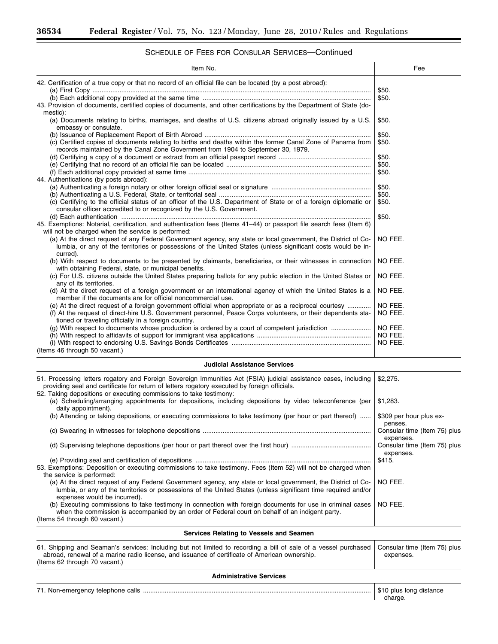# SCHEDULE OF FEES FOR CONSULAR SERVICES—Continued

| Item No.                                                                                                                                                                                                                                   | Fee            |
|--------------------------------------------------------------------------------------------------------------------------------------------------------------------------------------------------------------------------------------------|----------------|
| 42. Certification of a true copy or that no record of an official file can be located (by a post abroad):<br>43. Provision of documents, certified copies of documents, and other certifications by the Department of State (do-           | \$50.<br>\$50. |
| mestic):                                                                                                                                                                                                                                   |                |
| (a) Documents relating to births, marriages, and deaths of U.S. citizens abroad originally issued by a U.S.<br>embassy or consulate.                                                                                                       | \$50.          |
|                                                                                                                                                                                                                                            | \$50.          |
| (c) Certified copies of documents relating to births and deaths within the former Canal Zone of Panama from<br>records maintained by the Canal Zone Government from 1904 to September 30, 1979.                                            | \$50.          |
|                                                                                                                                                                                                                                            | \$50.          |
|                                                                                                                                                                                                                                            | \$50.          |
| 44. Authentications (by posts abroad):                                                                                                                                                                                                     | \$50.          |
|                                                                                                                                                                                                                                            | \$50.          |
|                                                                                                                                                                                                                                            | \$50.          |
| (c) Certifying to the official status of an officer of the U.S. Department of State or of a foreign diplomatic or<br>consular officer accredited to or recognized by the U.S. Government.                                                  | \$50.          |
|                                                                                                                                                                                                                                            | \$50.          |
| 45. Exemptions: Notarial, certification, and authentication fees (Items 41-44) or passport file search fees (Item 6)<br>will not be charged when the service is performed:                                                                 |                |
| (a) At the direct request of any Federal Government agency, any state or local government, the District of Co-<br>lumbia, or any of the territories or possessions of the United States (unless significant costs would be in-<br>curred). | NO FEE.        |
| (b) With respect to documents to be presented by claimants, beneficiaries, or their witnesses in connection<br>with obtaining Federal, state, or municipal benefits.                                                                       | NO FEE.        |
| (c) For U.S. citizens outside the United States preparing ballots for any public election in the United States or<br>any of its territories.                                                                                               | NO FEE.        |
| (d) At the direct request of a foreign government or an international agency of which the United States is a<br>member if the documents are for official noncommercial use.                                                                | NO FEE.        |
| (e) At the direct request of a foreign government official when appropriate or as a reciprocal courtesy                                                                                                                                    | NO FEE.        |
| (f) At the request of direct-hire U.S. Government personnel, Peace Corps volunteers, or their dependents sta-<br>tioned or traveling officially in a foreign country.                                                                      | NO FEE.        |
| (g) With respect to documents whose production is ordered by a court of competent jurisdiction                                                                                                                                             | NO FEE.        |
|                                                                                                                                                                                                                                            | I NO FEE.      |
|                                                                                                                                                                                                                                            | NO FEE.        |
| $l$ tomo $l$ $\Omega$ through $E\Omega$ vogant)                                                                                                                                                                                            |                |

(Items 46 through 50 vacant.)

## **Judicial Assistance Services**

| 51. Processing letters rogatory and Foreign Sovereign Immunities Act (FSIA) judicial assistance cases, including<br>providing seal and certificate for return of letters rogatory executed by foreign officials.<br>52. Taking depositions or executing commissions to take testimony: | \$2,275.                                  |
|----------------------------------------------------------------------------------------------------------------------------------------------------------------------------------------------------------------------------------------------------------------------------------------|-------------------------------------------|
| (a) Scheduling/arranging appointments for depositions, including depositions by video teleconference (per<br>daily appointment).                                                                                                                                                       | \$1,283.                                  |
| (b) Attending or taking depositions, or executing commissions to take testimony (per hour or part thereof)                                                                                                                                                                             | \$309 per hour plus ex-<br>penses.        |
|                                                                                                                                                                                                                                                                                        | Consular time (Item 75) plus<br>expenses. |
|                                                                                                                                                                                                                                                                                        | Consular time (Item 75) plus<br>expenses. |
| 53. Exemptions: Deposition or executing commissions to take testimony. Fees (Item 52) will not be charged when<br>the service is performed:                                                                                                                                            | \$415.                                    |
| (a) At the direct request of any Federal Government agency, any state or local government, the District of Co-<br>lumbia, or any of the territories or possessions of the United States (unless significant time required and/or<br>expenses would be incurred).                       | NO FEE.                                   |
| (b) Executing commissions to take testimony in connection with foreign documents for use in criminal cases<br>when the commission is accompanied by an order of Federal court on behalf of an indigent party.                                                                          | NO FEE.                                   |
| (Items 54 through 60 vacant.)                                                                                                                                                                                                                                                          |                                           |
|                                                                                                                                                                                                                                                                                        |                                           |

#### **Services Relating to Vessels and Seamen**

| 61. Shipping and Seaman's services: Including but not limited to recording a bill of sale of a vessel purchased Consular time (Item 75) plus |           |
|----------------------------------------------------------------------------------------------------------------------------------------------|-----------|
| abroad, renewal of a marine radio license, and issuance of certificate of American ownership.                                                | expenses. |
| (Items 62 through 70 vacant.)                                                                                                                |           |

**Administrative Services** 

71. Non-emergency telephone calls .............................................................................................................................. \$10 plus long distance